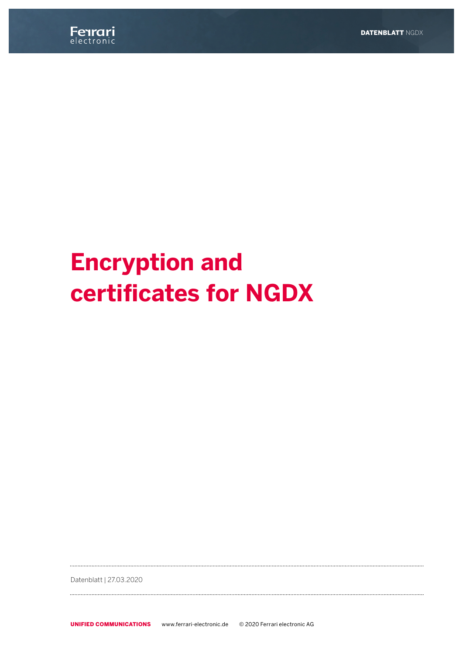

# **Encryption and certificates for NGDX**

Datenblatt | 27.03.2020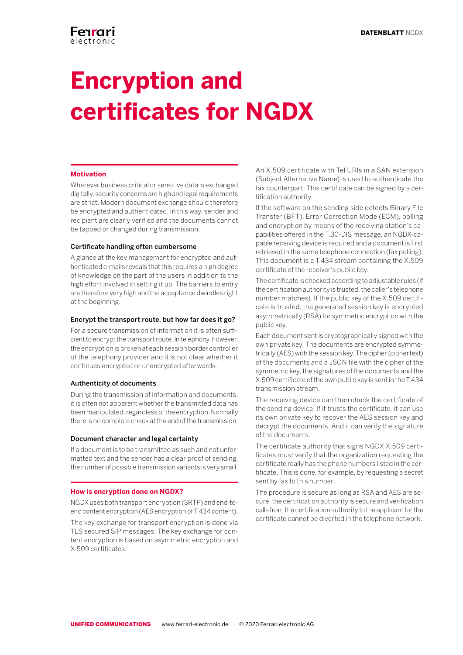# **Encryption and certificates for NGDX**

## **Motivation**

Wherever business critical or sensitive data is exchanged digitally, security concerns are high and legal requirements are strict. Modern document exchange should therefore be encrypted and authenticated. In this way, sender and recipient are clearly verified and the documents cannot be tapped or changed during transmission.

### Certificate handling often cumbersome

A glance at the key management for encrypted and authenticated e-mails reveals that this requires a high degree of knowledge on the part of the users in addition to the high effort involved in setting it up. The barriers to entry are therefore very high and the acceptance dwindles right at the beginning.

## Encrypt the transport route, but how far does it go?

For a secure transmission of information it is often sufficient to encrypt the transport route. In telephony, however, the encryption is broken at each session border controller of the telephony provider and it is not clear whether it continues encrypted or unencrypted afterwards.

## Authenticity of documents

During the transmission of information and documents, it is often not apparent whether the transmitted data has been manipulated, regardless of the encryption. Normally there is no complete check at the end of the transmission.

### Document character and legal certainty

If a document is to be transmitted as such and not unformatted text and the sender has a clear proof of sending, the number of possible transmission variants is very small.

#### **How is encryption done on NGDX?**

NGDX uses both transport encryption (SRTP) and end-toend content encryption (AES encryption of T.434 content).

The key exchange for transport encryption is done via TLS secured SIP messages. The key exchange for content encryption is based on asymmetric encryption and X.509 certificates.

An X.509 certificate with Tel URIs in a SAN extension (Subject Alternative Name) is used to authenticate the fax counterpart. This certificate can be signed by a certification authority.

If the software on the sending side detects Binary File Transfer (BFT), Error Correction Mode (ECM), polling and encryption by means of the receiving station's capabilities offered in the T.30-DIS message, an NGDX-capable receiving device is required and a document is first retrieved in the same telephone connection (fax polling). This document is a T.434 stream containing the X.509 certificate of the receiver's public key.

The certificate is checked according to adjustable rules (if the certification authority is trusted, the caller's telephone number matches). If the public key of the X.509 certificate is trusted, the generated session key is encrypted asymmetrically (RSA) for symmetric encryption with the public key.

Each document sent is cryptographically signed with the own private key. The documents are encrypted symmetrically (AES) with the session key. The cipher (ciphertext) of the documents and a JSON file with the cipher of the symmetric key, the signatures of the documents and the X.509 certificate of the own public key is sent in the T.434 transmission stream.

The receiving device can then check the certificate of the sending device. If it trusts the certificate, it can use its own private key to recover the AES session key and decrypt the documents. And it can verify the signature of the documents.

The certificate authority that signs NGDX X.509 certificates must verify that the organization requesting the certificate really has the phone numbers listed in the certificate. This is done, for example, by requesting a secret sent by fax to this number.

The procedure is secure as long as RSA and AES are secure, the certification authority is secure and verification calls from the certification authority to the applicant for the certificate cannot be diverted in the telephone network.